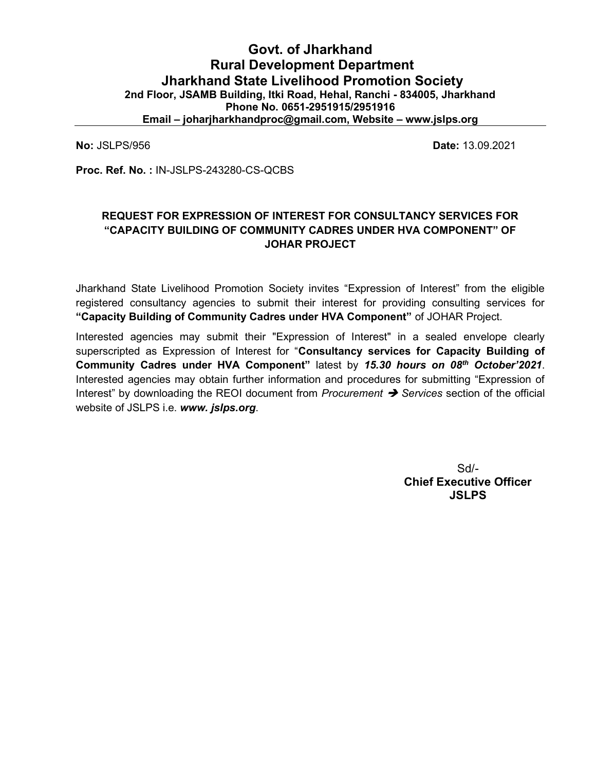# Govt. of Jharkhand Rural Development Department Jharkhand State Livelihood Promotion Society 2nd Floor, JSAMB Building, Itki Road, Hehal, Ranchi - 834005, Jharkhand Phone No. 0651-2951915/2951916 Email – joharjharkhandproc@gmail.com, Website – www.jslps.org

No: JSLPS/956 Date: 13.09.2021

Proc. Ref. No. : IN-JSLPS-243280-CS-QCBS

# REQUEST FOR EXPRESSION OF INTEREST FOR CONSULTANCY SERVICES FOR "CAPACITY BUILDING OF COMMUNITY CADRES UNDER HVA COMPONENT" OF JOHAR PROJECT

Jharkhand State Livelihood Promotion Society invites "Expression of Interest" from the eligible registered consultancy agencies to submit their interest for providing consulting services for "Capacity Building of Community Cadres under HVA Component" of JOHAR Project.

Interested agencies may submit their "Expression of Interest" in a sealed envelope clearly superscripted as Expression of Interest for "Consultancy services for Capacity Building of Community Cadres under HVA Component" latest by 15.30 hours on 08th October'2021. Interested agencies may obtain further information and procedures for submitting "Expression of Interest" by downloading the REOI document from *Procurement*  $\rightarrow$  Services section of the official website of JSLPS i.e. www. *jslps.org*.

> Sd/- Chief Executive Officer **JSLPS**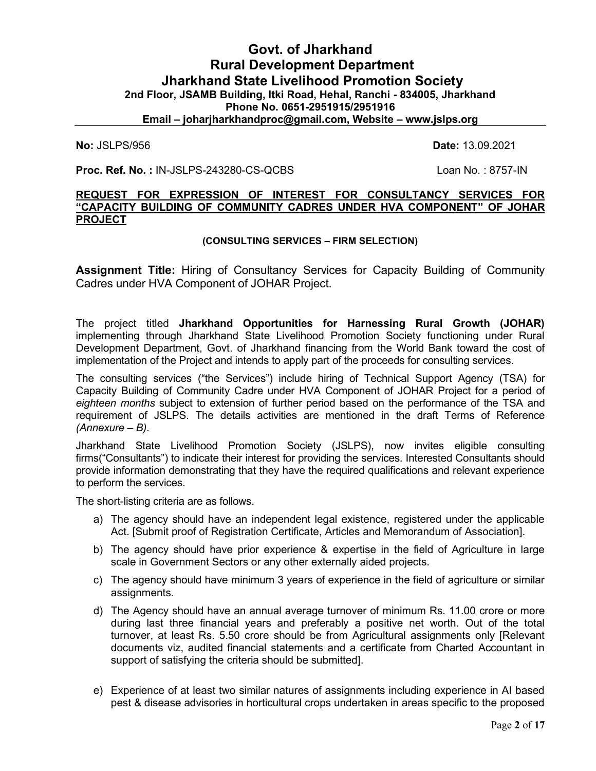# Govt. of Jharkhand Rural Development Department Jharkhand State Livelihood Promotion Society 2nd Floor, JSAMB Building, Itki Road, Hehal, Ranchi - 834005, Jharkhand Phone No. 0651-2951915/2951916 Email – joharjharkhandproc@gmail.com, Website – www.jslps.org

No: JSLPS/956 Date: 13.09.2021

**Proc. Ref. No. : IN-JSLPS-243280-CS-QCBS** Loan No. : 8757-IN

#### REQUEST FOR EXPRESSION OF INTEREST FOR CONSULTANCY SERVICES FOR "CAPACITY BUILDING OF COMMUNITY CADRES UNDER HVA COMPONENT" OF JOHAR PROJECT

#### (CONSULTING SERVICES – FIRM SELECTION)

Assignment Title: Hiring of Consultancy Services for Capacity Building of Community Cadres under HVA Component of JOHAR Project.

The project titled Jharkhand Opportunities for Harnessing Rural Growth (JOHAR) implementing through Jharkhand State Livelihood Promotion Society functioning under Rural Development Department, Govt. of Jharkhand financing from the World Bank toward the cost of implementation of the Project and intends to apply part of the proceeds for consulting services.

The consulting services ("the Services") include hiring of Technical Support Agency (TSA) for Capacity Building of Community Cadre under HVA Component of JOHAR Project for a period of eighteen months subject to extension of further period based on the performance of the TSA and requirement of JSLPS. The details activities are mentioned in the draft Terms of Reference (Annexure – B).

Jharkhand State Livelihood Promotion Society (JSLPS), now invites eligible consulting firms("Consultants") to indicate their interest for providing the services. Interested Consultants should provide information demonstrating that they have the required qualifications and relevant experience to perform the services.

The short-listing criteria are as follows.

- a) The agency should have an independent legal existence, registered under the applicable Act. [Submit proof of Registration Certificate, Articles and Memorandum of Association].
- b) The agency should have prior experience & expertise in the field of Agriculture in large scale in Government Sectors or any other externally aided projects.
- c) The agency should have minimum 3 years of experience in the field of agriculture or similar assignments.
- d) The Agency should have an annual average turnover of minimum Rs. 11.00 crore or more during last three financial years and preferably a positive net worth. Out of the total turnover, at least Rs. 5.50 crore should be from Agricultural assignments only [Relevant documents viz, audited financial statements and a certificate from Charted Accountant in support of satisfying the criteria should be submitted].
- e) Experience of at least two similar natures of assignments including experience in AI based pest & disease advisories in horticultural crops undertaken in areas specific to the proposed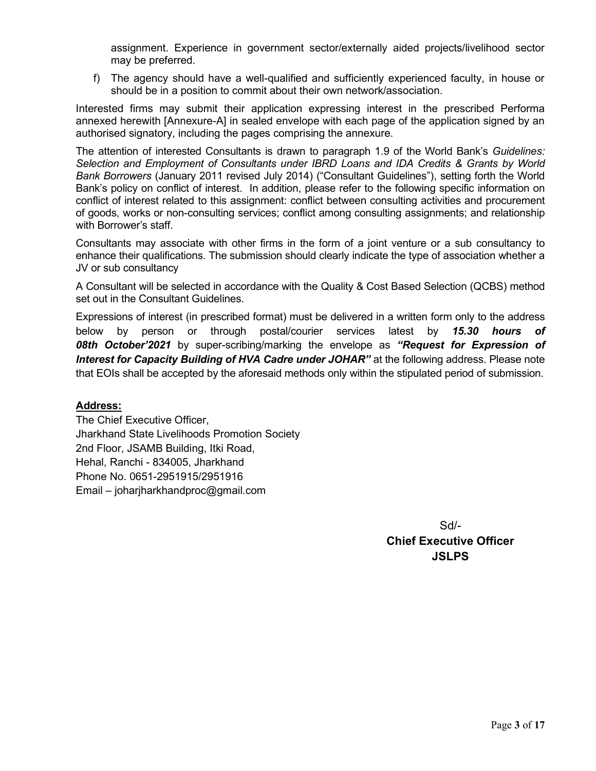assignment. Experience in government sector/externally aided projects/livelihood sector may be preferred.

f) The agency should have a well-qualified and sufficiently experienced faculty, in house or should be in a position to commit about their own network/association.

Interested firms may submit their application expressing interest in the prescribed Performa annexed herewith [Annexure-A] in sealed envelope with each page of the application signed by an authorised signatory, including the pages comprising the annexure.

The attention of interested Consultants is drawn to paragraph 1.9 of the World Bank's Guidelines: Selection and Employment of Consultants under IBRD Loans and IDA Credits & Grants by World Bank Borrowers (January 2011 revised July 2014) ("Consultant Guidelines"), setting forth the World Bank's policy on conflict of interest. In addition, please refer to the following specific information on conflict of interest related to this assignment: conflict between consulting activities and procurement of goods, works or non-consulting services; conflict among consulting assignments; and relationship with Borrower's staff.

Consultants may associate with other firms in the form of a joint venture or a sub consultancy to enhance their qualifications. The submission should clearly indicate the type of association whether a JV or sub consultancy

A Consultant will be selected in accordance with the Quality & Cost Based Selection (QCBS) method set out in the Consultant Guidelines.

Expressions of interest (in prescribed format) must be delivered in a written form only to the address below by person or through postal/courier services latest by 15.30 hours of 08th October'2021 by super-scribing/marking the envelope as "Request for Expression of Interest for Capacity Building of HVA Cadre under JOHAR" at the following address. Please note that EOIs shall be accepted by the aforesaid methods only within the stipulated period of submission.

## Address:

The Chief Executive Officer, Jharkhand State Livelihoods Promotion Society 2nd Floor, JSAMB Building, Itki Road, Hehal, Ranchi - 834005, Jharkhand Phone No. 0651-2951915/2951916 Email – joharjharkhandproc@gmail.com

> Sd/- Chief Executive Officer **JSLPS**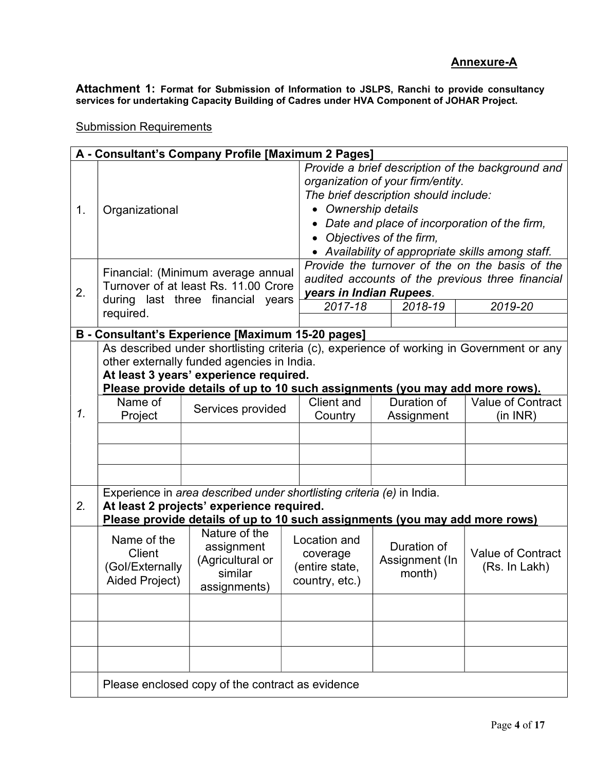Attachment 1: Format for Submission of Information to JSLPS, Ranchi to provide consultancy services for undertaking Capacity Building of Cadres under HVA Component of JOHAR Project.

A - Consultant's Company Profile [Maximum 2 Pages] 1. Organizational Provide a brief description of the background and organization of your firm/entity. The brief description should include: • Ownership details Date and place of incorporation of the firm, • Objectives of the firm, Availability of appropriate skills among staff. 2. Financial: (Minimum average annual Turnover of at least Rs. 11.00 Crore during last three financial years required. Provide the turnover of the on the basis of the audited accounts of the previous three financial years in Indian Rupees. 2017-18 2018-19 2019-20 B - Consultant's Experience [Maximum 15-20 pages] 1. As described under shortlisting criteria (c), experience of working in Government or any other externally funded agencies in India. At least 3 years' experience required. Please provide details of up to 10 such assignments (you may add more rows). Name of Vame of Services provided Client and **Country** Duration of Assignment Value of Contract (in INR) 2. Experience in area described under shortlisting criteria (e) in India. At least 2 projects' experience required. Please provide details of up to 10 such assignments (you may add more rows) Name of the **Client** (GoI/Externally Aided Project) Nature of the assignment (Agricultural or similar assignments) Location and coverage (entire state, country, etc.) Duration of Assignment (In month) Value of Contract (Rs. In Lakh) Please enclosed copy of the contract as evidence

#### Submission Requirements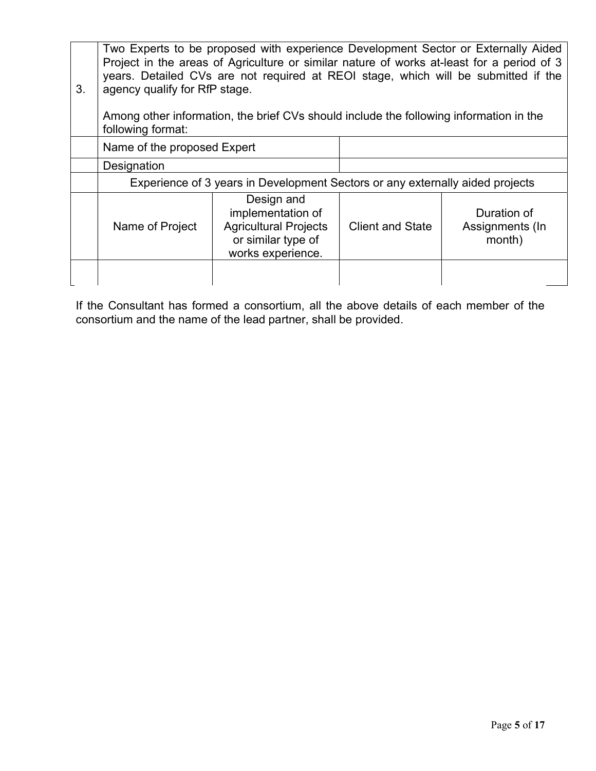| 3. | Two Experts to be proposed with experience Development Sector or Externally Aided<br>Project in the areas of Agriculture or similar nature of works at-least for a period of 3<br>years. Detailed CVs are not required at REOI stage, which will be submitted if the<br>agency qualify for RfP stage.<br>Among other information, the brief CVs should include the following information in the<br>following format: |                                                                                                            |                         |                                          |
|----|----------------------------------------------------------------------------------------------------------------------------------------------------------------------------------------------------------------------------------------------------------------------------------------------------------------------------------------------------------------------------------------------------------------------|------------------------------------------------------------------------------------------------------------|-------------------------|------------------------------------------|
|    | Name of the proposed Expert                                                                                                                                                                                                                                                                                                                                                                                          |                                                                                                            |                         |                                          |
|    | Designation                                                                                                                                                                                                                                                                                                                                                                                                          |                                                                                                            |                         |                                          |
|    | Experience of 3 years in Development Sectors or any externally aided projects                                                                                                                                                                                                                                                                                                                                        |                                                                                                            |                         |                                          |
|    | Name of Project                                                                                                                                                                                                                                                                                                                                                                                                      | Design and<br>implementation of<br><b>Agricultural Projects</b><br>or similar type of<br>works experience. | <b>Client and State</b> | Duration of<br>Assignments (In<br>month) |
|    |                                                                                                                                                                                                                                                                                                                                                                                                                      |                                                                                                            |                         |                                          |

If the Consultant has formed a consortium, all the above details of each member of the consortium and the name of the lead partner, shall be provided.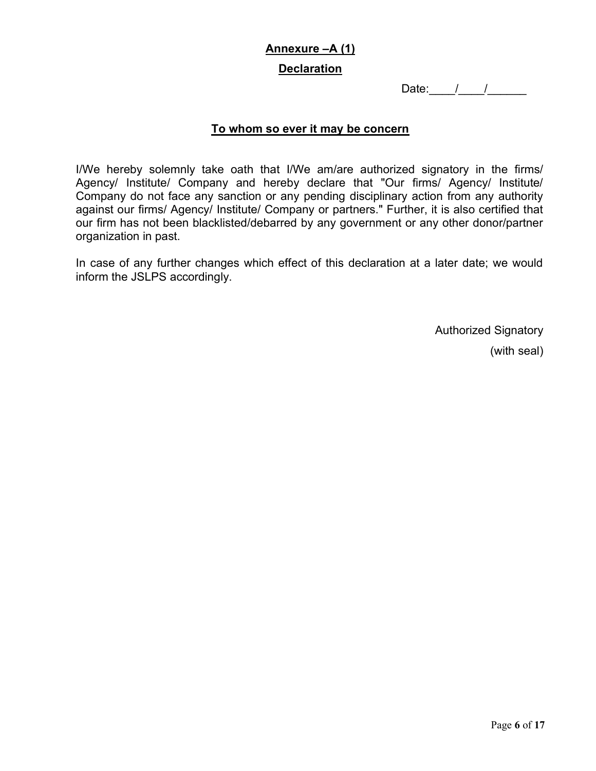# Annexure –A (1)

## **Declaration**

Date:  $1/2$ 

## To whom so ever it may be concern

I/We hereby solemnly take oath that I/We am/are authorized signatory in the firms/ Agency/ Institute/ Company and hereby declare that "Our firms/ Agency/ Institute/ Company do not face any sanction or any pending disciplinary action from any authority against our firms/ Agency/ Institute/ Company or partners." Further, it is also certified that our firm has not been blacklisted/debarred by any government or any other donor/partner organization in past.

In case of any further changes which effect of this declaration at a later date; we would inform the JSLPS accordingly.

Authorized Signatory

(with seal)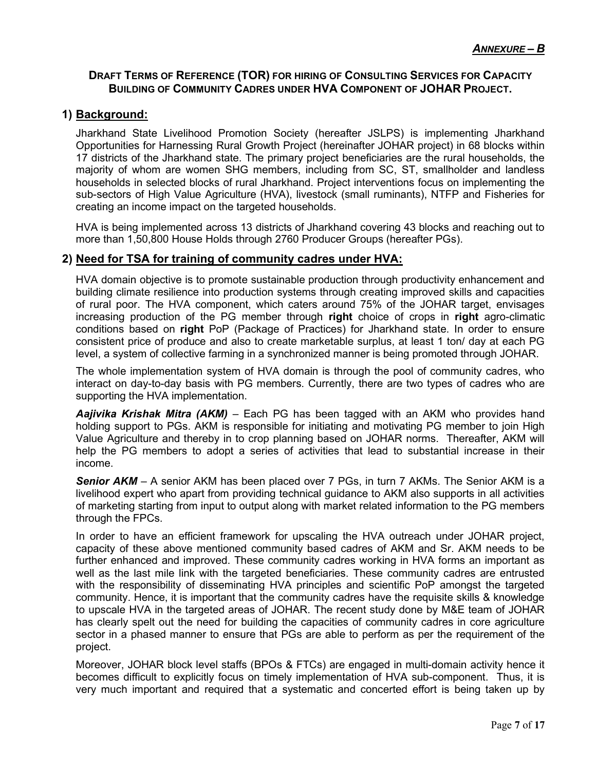## DRAFT TERMS OF REFERENCE (TOR) FOR HIRING OF CONSULTING SERVICES FOR CAPACITY BUILDING OF COMMUNITY CADRES UNDER HVA COMPONENT OF JOHAR PROJECT.

## 1) Background:

Jharkhand State Livelihood Promotion Society (hereafter JSLPS) is implementing Jharkhand Opportunities for Harnessing Rural Growth Project (hereinafter JOHAR project) in 68 blocks within 17 districts of the Jharkhand state. The primary project beneficiaries are the rural households, the majority of whom are women SHG members, including from SC, ST, smallholder and landless households in selected blocks of rural Jharkhand. Project interventions focus on implementing the sub-sectors of High Value Agriculture (HVA), livestock (small ruminants), NTFP and Fisheries for creating an income impact on the targeted households.

HVA is being implemented across 13 districts of Jharkhand covering 43 blocks and reaching out to more than 1,50,800 House Holds through 2760 Producer Groups (hereafter PGs).

## 2) Need for TSA for training of community cadres under HVA:

HVA domain objective is to promote sustainable production through productivity enhancement and building climate resilience into production systems through creating improved skills and capacities of rural poor. The HVA component, which caters around 75% of the JOHAR target, envisages increasing production of the PG member through right choice of crops in right agro-climatic conditions based on right PoP (Package of Practices) for Jharkhand state. In order to ensure consistent price of produce and also to create marketable surplus, at least 1 ton/ day at each PG level, a system of collective farming in a synchronized manner is being promoted through JOHAR.

The whole implementation system of HVA domain is through the pool of community cadres, who interact on day-to-day basis with PG members. Currently, there are two types of cadres who are supporting the HVA implementation.

**Aajivika Krishak Mitra (AKM)** – Each PG has been tagged with an AKM who provides hand holding support to PGs. AKM is responsible for initiating and motivating PG member to join High Value Agriculture and thereby in to crop planning based on JOHAR norms. Thereafter, AKM will help the PG members to adopt a series of activities that lead to substantial increase in their income.

Senior AKM - A senior AKM has been placed over 7 PGs, in turn 7 AKMs. The Senior AKM is a livelihood expert who apart from providing technical guidance to AKM also supports in all activities of marketing starting from input to output along with market related information to the PG members through the FPCs.

In order to have an efficient framework for upscaling the HVA outreach under JOHAR project, capacity of these above mentioned community based cadres of AKM and Sr. AKM needs to be further enhanced and improved. These community cadres working in HVA forms an important as well as the last mile link with the targeted beneficiaries. These community cadres are entrusted with the responsibility of disseminating HVA principles and scientific PoP amongst the targeted community. Hence, it is important that the community cadres have the requisite skills & knowledge to upscale HVA in the targeted areas of JOHAR. The recent study done by M&E team of JOHAR has clearly spelt out the need for building the capacities of community cadres in core agriculture sector in a phased manner to ensure that PGs are able to perform as per the requirement of the project.

Moreover, JOHAR block level staffs (BPOs & FTCs) are engaged in multi-domain activity hence it becomes difficult to explicitly focus on timely implementation of HVA sub-component. Thus, it is very much important and required that a systematic and concerted effort is being taken up by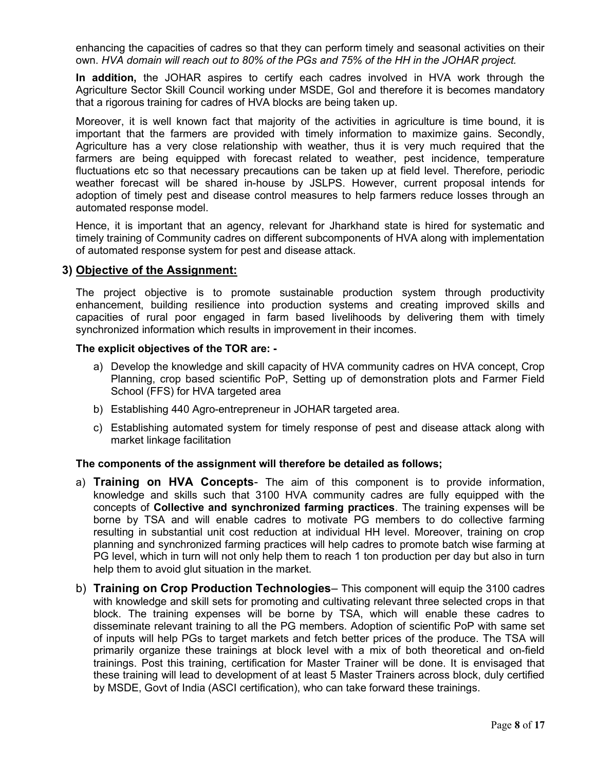enhancing the capacities of cadres so that they can perform timely and seasonal activities on their own. HVA domain will reach out to 80% of the PGs and 75% of the HH in the JOHAR project.

In addition, the JOHAR aspires to certify each cadres involved in HVA work through the Agriculture Sector Skill Council working under MSDE, GoI and therefore it is becomes mandatory that a rigorous training for cadres of HVA blocks are being taken up.

Moreover, it is well known fact that majority of the activities in agriculture is time bound, it is important that the farmers are provided with timely information to maximize gains. Secondly, Agriculture has a very close relationship with weather, thus it is very much required that the farmers are being equipped with forecast related to weather, pest incidence, temperature fluctuations etc so that necessary precautions can be taken up at field level. Therefore, periodic weather forecast will be shared in-house by JSLPS. However, current proposal intends for adoption of timely pest and disease control measures to help farmers reduce losses through an automated response model.

Hence, it is important that an agency, relevant for Jharkhand state is hired for systematic and timely training of Community cadres on different subcomponents of HVA along with implementation of automated response system for pest and disease attack.

## 3) Objective of the Assignment:

The project objective is to promote sustainable production system through productivity enhancement, building resilience into production systems and creating improved skills and capacities of rural poor engaged in farm based livelihoods by delivering them with timely synchronized information which results in improvement in their incomes.

#### The explicit objectives of the TOR are: -

- a) Develop the knowledge and skill capacity of HVA community cadres on HVA concept, Crop Planning, crop based scientific PoP, Setting up of demonstration plots and Farmer Field School (FFS) for HVA targeted area
- b) Establishing 440 Agro-entrepreneur in JOHAR targeted area.
- c) Establishing automated system for timely response of pest and disease attack along with market linkage facilitation

#### The components of the assignment will therefore be detailed as follows;

- a) Training on HVA Concepts- The aim of this component is to provide information, knowledge and skills such that 3100 HVA community cadres are fully equipped with the concepts of Collective and synchronized farming practices. The training expenses will be borne by TSA and will enable cadres to motivate PG members to do collective farming resulting in substantial unit cost reduction at individual HH level. Moreover, training on crop planning and synchronized farming practices will help cadres to promote batch wise farming at PG level, which in turn will not only help them to reach 1 ton production per day but also in turn help them to avoid glut situation in the market.
- b) Training on Crop Production Technologies- This component will equip the 3100 cadres with knowledge and skill sets for promoting and cultivating relevant three selected crops in that block. The training expenses will be borne by TSA, which will enable these cadres to disseminate relevant training to all the PG members. Adoption of scientific PoP with same set of inputs will help PGs to target markets and fetch better prices of the produce. The TSA will primarily organize these trainings at block level with a mix of both theoretical and on-field trainings. Post this training, certification for Master Trainer will be done. It is envisaged that these training will lead to development of at least 5 Master Trainers across block, duly certified by MSDE, Govt of India (ASCI certification), who can take forward these trainings.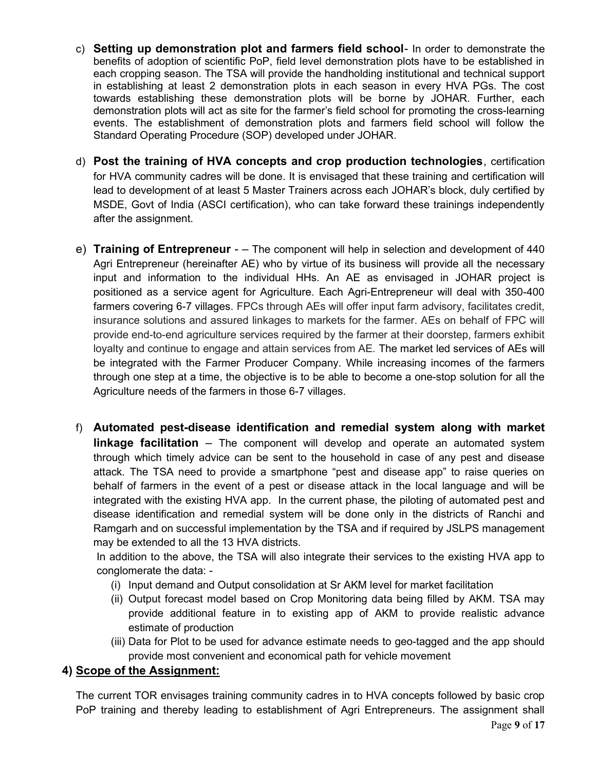- c) Setting up demonstration plot and farmers field school- In order to demonstrate the benefits of adoption of scientific PoP, field level demonstration plots have to be established in each cropping season. The TSA will provide the handholding institutional and technical support in establishing at least 2 demonstration plots in each season in every HVA PGs. The cost towards establishing these demonstration plots will be borne by JOHAR. Further, each demonstration plots will act as site for the farmer's field school for promoting the cross-learning events. The establishment of demonstration plots and farmers field school will follow the Standard Operating Procedure (SOP) developed under JOHAR.
- d) Post the training of HVA concepts and crop production technologies, certification for HVA community cadres will be done. It is envisaged that these training and certification will lead to development of at least 5 Master Trainers across each JOHAR's block, duly certified by MSDE, Govt of India (ASCI certification), who can take forward these trainings independently after the assignment.
- e) Training of Entrepreneur – The component will help in selection and development of 440 Agri Entrepreneur (hereinafter AE) who by virtue of its business will provide all the necessary input and information to the individual HHs. An AE as envisaged in JOHAR project is positioned as a service agent for Agriculture. Each Agri-Entrepreneur will deal with 350-400 farmers covering 6-7 villages. FPCs through AEs will offer input farm advisory, facilitates credit, insurance solutions and assured linkages to markets for the farmer. AEs on behalf of FPC will provide end-to-end agriculture services required by the farmer at their doorstep, farmers exhibit loyalty and continue to engage and attain services from AE. The market led services of AEs will be integrated with the Farmer Producer Company. While increasing incomes of the farmers through one step at a time, the objective is to be able to become a one-stop solution for all the Agriculture needs of the farmers in those 6-7 villages.
- f) Automated pest-disease identification and remedial system along with market **linkage facilitation** – The component will develop and operate an automated system through which timely advice can be sent to the household in case of any pest and disease attack. The TSA need to provide a smartphone "pest and disease app" to raise queries on behalf of farmers in the event of a pest or disease attack in the local language and will be integrated with the existing HVA app. In the current phase, the piloting of automated pest and disease identification and remedial system will be done only in the districts of Ranchi and Ramgarh and on successful implementation by the TSA and if required by JSLPS management may be extended to all the 13 HVA districts.

In addition to the above, the TSA will also integrate their services to the existing HVA app to conglomerate the data: -

- (i) Input demand and Output consolidation at Sr AKM level for market facilitation
- (ii) Output forecast model based on Crop Monitoring data being filled by AKM. TSA may provide additional feature in to existing app of AKM to provide realistic advance estimate of production
- (iii) Data for Plot to be used for advance estimate needs to geo-tagged and the app should provide most convenient and economical path for vehicle movement

# 4) Scope of the Assignment:

The current TOR envisages training community cadres in to HVA concepts followed by basic crop PoP training and thereby leading to establishment of Agri Entrepreneurs. The assignment shall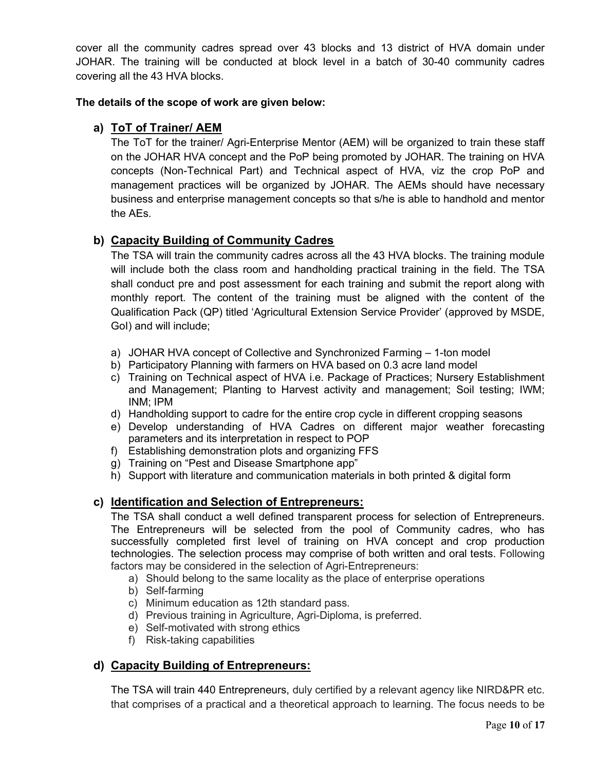cover all the community cadres spread over 43 blocks and 13 district of HVA domain under JOHAR. The training will be conducted at block level in a batch of 30-40 community cadres covering all the 43 HVA blocks.

## The details of the scope of work are given below:

# a) ToT of Trainer/ AEM

The ToT for the trainer/ Agri-Enterprise Mentor (AEM) will be organized to train these staff on the JOHAR HVA concept and the PoP being promoted by JOHAR. The training on HVA concepts (Non-Technical Part) and Technical aspect of HVA, viz the crop PoP and management practices will be organized by JOHAR. The AEMs should have necessary business and enterprise management concepts so that s/he is able to handhold and mentor the AEs.

# b) Capacity Building of Community Cadres

The TSA will train the community cadres across all the 43 HVA blocks. The training module will include both the class room and handholding practical training in the field. The TSA shall conduct pre and post assessment for each training and submit the report along with monthly report. The content of the training must be aligned with the content of the Qualification Pack (QP) titled 'Agricultural Extension Service Provider' (approved by MSDE, GoI) and will include;

- a) JOHAR HVA concept of Collective and Synchronized Farming 1-ton model
- b) Participatory Planning with farmers on HVA based on 0.3 acre land model
- c) Training on Technical aspect of HVA i.e. Package of Practices; Nursery Establishment and Management; Planting to Harvest activity and management; Soil testing; IWM; INM; IPM
- d) Handholding support to cadre for the entire crop cycle in different cropping seasons
- e) Develop understanding of HVA Cadres on different major weather forecasting parameters and its interpretation in respect to POP
- f) Establishing demonstration plots and organizing FFS
- g) Training on "Pest and Disease Smartphone app"
- h) Support with literature and communication materials in both printed & digital form

# c) Identification and Selection of Entrepreneurs:

The TSA shall conduct a well defined transparent process for selection of Entrepreneurs. The Entrepreneurs will be selected from the pool of Community cadres, who has successfully completed first level of training on HVA concept and crop production technologies. The selection process may comprise of both written and oral tests. Following factors may be considered in the selection of Agri-Entrepreneurs:

- a) Should belong to the same locality as the place of enterprise operations
- b) Self-farming
- c) Minimum education as 12th standard pass.
- d) Previous training in Agriculture, Agri-Diploma, is preferred.
- e) Self-motivated with strong ethics
- f) Risk-taking capabilities

# d) Capacity Building of Entrepreneurs:

The TSA will train 440 Entrepreneurs, duly certified by a relevant agency like NIRD&PR etc. that comprises of a practical and a theoretical approach to learning. The focus needs to be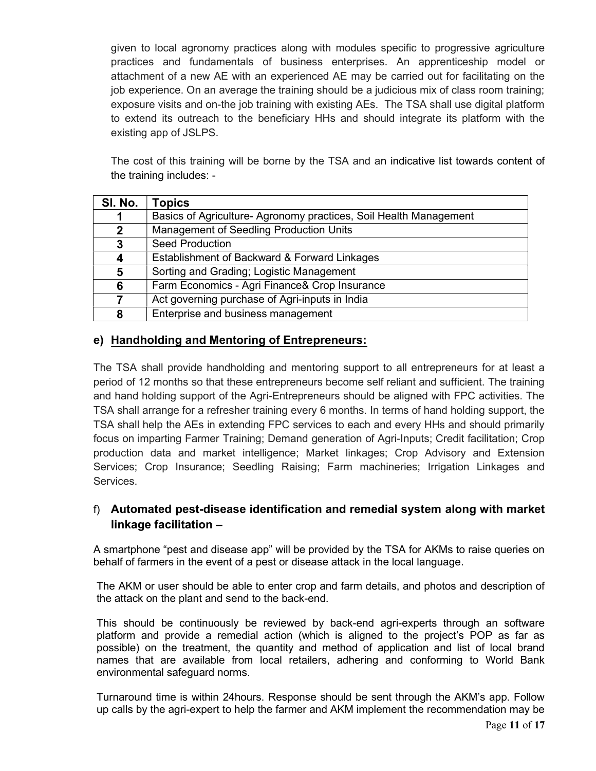given to local agronomy practices along with modules specific to progressive agriculture practices and fundamentals of business enterprises. An apprenticeship model or attachment of a new AE with an experienced AE may be carried out for facilitating on the job experience. On an average the training should be a judicious mix of class room training; exposure visits and on-the job training with existing AEs. The TSA shall use digital platform to extend its outreach to the beneficiary HHs and should integrate its platform with the existing app of JSLPS.

The cost of this training will be borne by the TSA and an indicative list towards content of the training includes: -

| SI. No.     | Topics                                                           |
|-------------|------------------------------------------------------------------|
|             | Basics of Agriculture-Agronomy practices, Soil Health Management |
| $\mathbf 2$ | Management of Seedling Production Units                          |
| 3           | <b>Seed Production</b>                                           |
| 4           | Establishment of Backward & Forward Linkages                     |
| 5           | Sorting and Grading; Logistic Management                         |
| 6           | Farm Economics - Agri Finance& Crop Insurance                    |
|             | Act governing purchase of Agri-inputs in India                   |
| 8           | Enterprise and business management                               |

# e) Handholding and Mentoring of Entrepreneurs:

The TSA shall provide handholding and mentoring support to all entrepreneurs for at least a period of 12 months so that these entrepreneurs become self reliant and sufficient. The training and hand holding support of the Agri-Entrepreneurs should be aligned with FPC activities. The TSA shall arrange for a refresher training every 6 months. In terms of hand holding support, the TSA shall help the AEs in extending FPC services to each and every HHs and should primarily focus on imparting Farmer Training; Demand generation of Agri-Inputs; Credit facilitation; Crop production data and market intelligence; Market linkages; Crop Advisory and Extension Services; Crop Insurance; Seedling Raising; Farm machineries; Irrigation Linkages and Services.

# f) Automated pest-disease identification and remedial system along with market linkage facilitation –

A smartphone "pest and disease app" will be provided by the TSA for AKMs to raise queries on behalf of farmers in the event of a pest or disease attack in the local language.

The AKM or user should be able to enter crop and farm details, and photos and description of the attack on the plant and send to the back-end.

This should be continuously be reviewed by back-end agri-experts through an software platform and provide a remedial action (which is aligned to the project's POP as far as possible) on the treatment, the quantity and method of application and list of local brand names that are available from local retailers, adhering and conforming to World Bank environmental safeguard norms.

Turnaround time is within 24hours. Response should be sent through the AKM's app. Follow up calls by the agri-expert to help the farmer and AKM implement the recommendation may be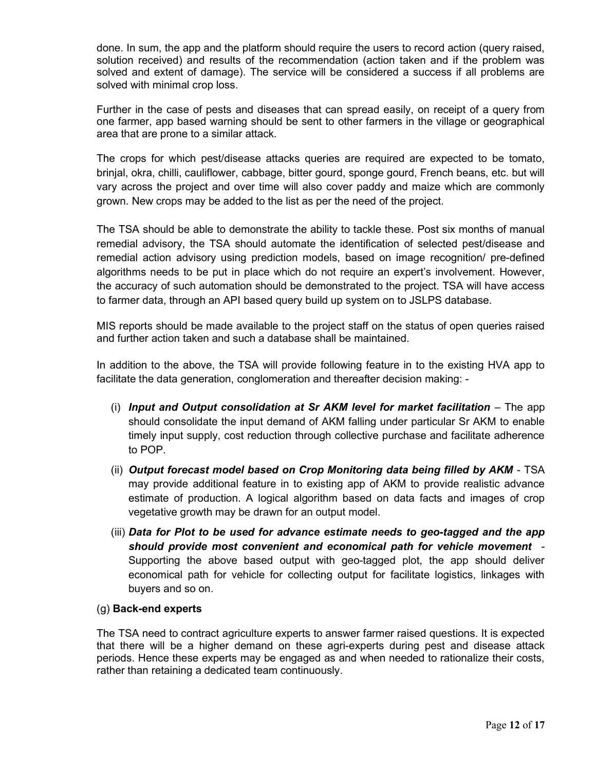done. In sum, the app and the platform should require the users to record action (query raised, solution received) and results of the recommendation (action taken and if the problem was solved and extent of damage). The service will be considered a success if all problems are solved with minimal crop loss.

Further in the case of pests and diseases that can spread easily, on receipt of a query from one farmer, app based warning should be sent to other farmers in the village or geographical area that are prone to a similar attack.

The crops for which pest/disease attacks queries are required are expected to be tomato, brinjal, okra, chilli, cauliflower, cabbage, bitter gourd, sponge gourd, French beans, etc. but will vary across the project and over time will also cover paddy and maize which are commonly grown. New crops may be added to the list as per the need of the project.

The TSA should be able to demonstrate the ability to tackle these. Post six months of manual remedial advisory, the TSA should automate the identification of selected pest/disease and remedial action advisory using prediction models, based on image recognition/ pre-defined algorithms needs to be put in place which do not require an expert's involvement. However, the accuracy of such automation should be demonstrated to the project. TSA will have access to farmer data, through an API based query build up system on to JSLPS database.

MIS reports should be made available to the project staff on the status of open queries raised and further action taken and such a database shall be maintained.

In addition to the above, the TSA will provide following feature in to the existing HVA app to facilitate the data generation, conglomeration and thereafter decision making: -

- (i) Input and Output consolidation at Sr  $AKM$  level for market facilitation  $-$  The app should consolidate the input demand of AKM falling under particular Sr AKM to enable timely input supply, cost reduction through collective purchase and facilitate adherence to POP.
- (ii) Output forecast model based on Crop Monitoring data being filled by AKM TSA may provide additional feature in to existing app of AKM to provide realistic advance estimate of production. A logical algorithm based on data facts and images of crop vegetative growth may be drawn for an output model.
- (iii) Data for Plot to be used for advance estimate needs to geo-tagged and the app should provide most convenient and economical path for vehicle movement - Supporting the above based output with geo-tagged plot, the app should deliver economical path for vehicle for collecting output for facilitate logistics, linkages with buyers and so on.

## (g) Back-end experts

The TSA need to contract agriculture experts to answer farmer raised questions. It is expected that there will be a higher demand on these agri-experts during pest and disease attack periods. Hence these experts may be engaged as and when needed to rationalize their costs, rather than retaining a dedicated team continuously.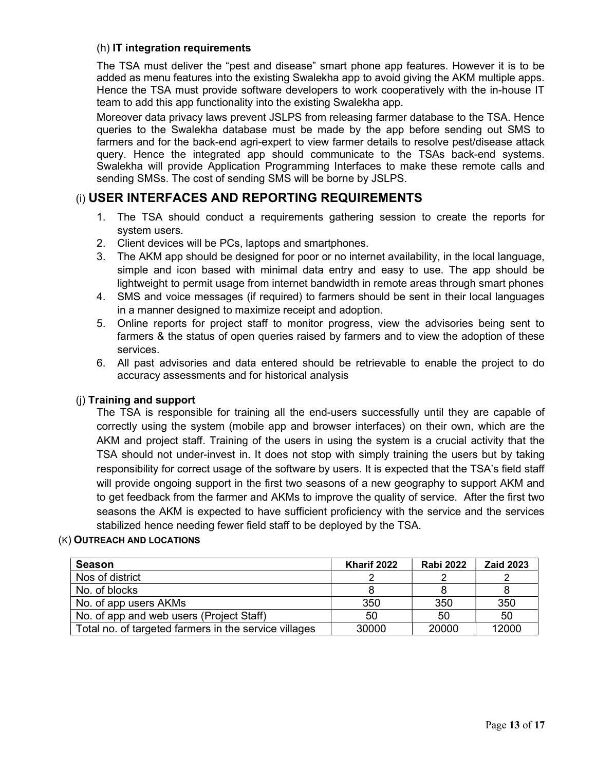## (h) IT integration requirements

The TSA must deliver the "pest and disease" smart phone app features. However it is to be added as menu features into the existing Swalekha app to avoid giving the AKM multiple apps. Hence the TSA must provide software developers to work cooperatively with the in-house IT team to add this app functionality into the existing Swalekha app.

Moreover data privacy laws prevent JSLPS from releasing farmer database to the TSA. Hence queries to the Swalekha database must be made by the app before sending out SMS to farmers and for the back-end agri-expert to view farmer details to resolve pest/disease attack query. Hence the integrated app should communicate to the TSAs back-end systems. Swalekha will provide Application Programming Interfaces to make these remote calls and sending SMSs. The cost of sending SMS will be borne by JSLPS.

# (i) USER INTERFACES AND REPORTING REQUIREMENTS

- 1. The TSA should conduct a requirements gathering session to create the reports for system users.
- 2. Client devices will be PCs, laptops and smartphones.
- 3. The AKM app should be designed for poor or no internet availability, in the local language, simple and icon based with minimal data entry and easy to use. The app should be lightweight to permit usage from internet bandwidth in remote areas through smart phones
- 4. SMS and voice messages (if required) to farmers should be sent in their local languages in a manner designed to maximize receipt and adoption.
- 5. Online reports for project staff to monitor progress, view the advisories being sent to farmers & the status of open queries raised by farmers and to view the adoption of these services.
- 6. All past advisories and data entered should be retrievable to enable the project to do accuracy assessments and for historical analysis

## (j) Training and support

The TSA is responsible for training all the end-users successfully until they are capable of correctly using the system (mobile app and browser interfaces) on their own, which are the AKM and project staff. Training of the users in using the system is a crucial activity that the TSA should not under-invest in. It does not stop with simply training the users but by taking responsibility for correct usage of the software by users. It is expected that the TSA's field staff will provide ongoing support in the first two seasons of a new geography to support AKM and to get feedback from the farmer and AKMs to improve the quality of service. After the first two seasons the AKM is expected to have sufficient proficiency with the service and the services stabilized hence needing fewer field staff to be deployed by the TSA.

#### (K) OUTREACH AND LOCATIONS

| <b>Season</b>                                         | Kharif 2022 | <b>Rabi 2022</b> | <b>Zaid 2023</b> |
|-------------------------------------------------------|-------------|------------------|------------------|
| Nos of district                                       |             |                  |                  |
| No. of blocks                                         |             |                  |                  |
| No. of app users AKMs                                 | 350         | 350              | 350              |
| No. of app and web users (Project Staff)              | 50          | 50               | 50               |
| Total no. of targeted farmers in the service villages | 30000       | 20000            | 12000            |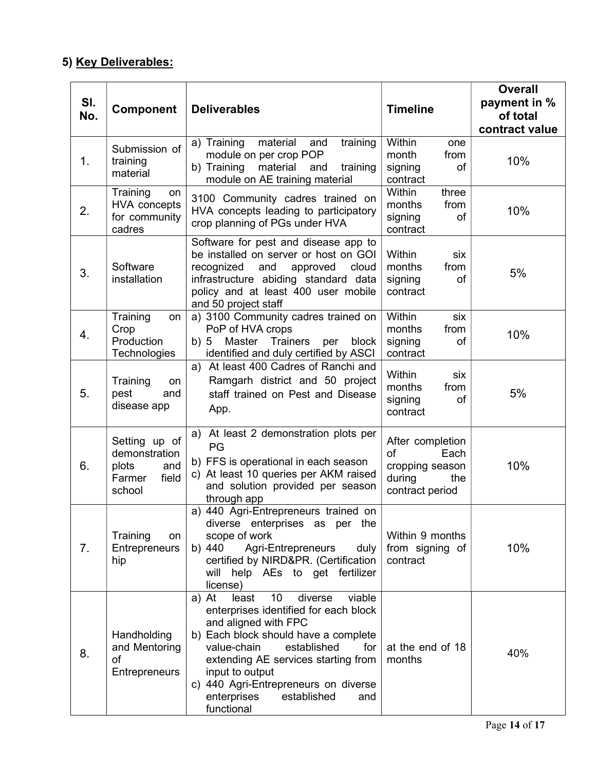# 5) Key Deliverables:

| SI.<br>No. | Component                                                                   | <b>Deliverables</b>                                                                                                                                                                                                                                                                                                                          | <b>Timeline</b>                                                                       | <b>Overall</b><br>payment in %<br>of total<br>contract value |
|------------|-----------------------------------------------------------------------------|----------------------------------------------------------------------------------------------------------------------------------------------------------------------------------------------------------------------------------------------------------------------------------------------------------------------------------------------|---------------------------------------------------------------------------------------|--------------------------------------------------------------|
| 1.         | Submission of<br>training<br>material                                       | material<br>a) Training<br>and<br>training<br>module on per crop POP<br>b) Training<br>material<br>and<br>training<br>module on AE training material                                                                                                                                                                                         | Within<br>one<br>month<br>from<br>of<br>signing<br>contract                           | 10%                                                          |
| 2.         | Training<br>on<br><b>HVA</b> concepts<br>for community<br>cadres            | 3100 Community cadres trained on<br>HVA concepts leading to participatory<br>crop planning of PGs under HVA                                                                                                                                                                                                                                  | Within<br>three<br>months<br>from<br>signing<br>of<br>contract                        | 10%                                                          |
| 3.         | Software<br>installation                                                    | Software for pest and disease app to<br>be installed on server or host on GOI<br>recognized<br>and<br>approved<br>cloud<br>infrastructure abiding standard data<br>policy and at least 400 user mobile<br>and 50 project staff                                                                                                               | Within<br>six<br>months<br>from<br>signing<br>of<br>contract                          | 5%                                                           |
| 4.         | Training<br>on<br>Crop<br>Production<br>Technologies                        | a) 3100 Community cadres trained on<br>PoP of HVA crops<br>b)5<br>Master Trainers<br>block<br>per<br>identified and duly certified by ASCI                                                                                                                                                                                                   | Within<br>six<br>months<br>from<br>signing<br>of<br>contract                          | 10%                                                          |
| 5.         | Training<br>on<br>pest<br>and<br>disease app                                | At least 400 Cadres of Ranchi and<br>a)<br>Ramgarh district and 50 project<br>staff trained on Pest and Disease<br>App.                                                                                                                                                                                                                      | Within<br>six<br>months<br>from<br>signing<br>of<br>contract                          | 5%                                                           |
| 6.         | Setting up of<br>demonstration<br>plots<br>and<br>field<br>Farmer<br>school | a) At least 2 demonstration plots per<br>PG<br>b) FFS is operational in each season<br>c) At least 10 queries per AKM raised<br>and solution provided per season<br>through app                                                                                                                                                              | After completion<br>of<br>Each<br>cropping season<br>during<br>the<br>contract period | 10%                                                          |
| 7.         | Training<br>on<br>Entrepreneurs<br>hip                                      | a) 440 Agri-Entrepreneurs trained on<br>diverse enterprises as per the<br>scope of work<br>Agri-Entrepreneurs<br>b) 440<br>duly<br>certified by NIRD&PR. (Certification<br>will help AEs to get fertilizer<br>license)                                                                                                                       | Within 9 months<br>from signing of<br>contract                                        | 10%                                                          |
| 8.         | Handholding<br>and Mentoring<br>of<br><b>Entrepreneurs</b>                  | a) At<br>least<br>10<br>diverse<br>viable<br>enterprises identified for each block<br>and aligned with FPC<br>b) Each block should have a complete<br>value-chain<br>established<br>for<br>extending AE services starting from<br>input to output<br>c) 440 Agri-Entrepreneurs on diverse<br>enterprises<br>established<br>and<br>functional | at the end of 18<br>months                                                            | 40%                                                          |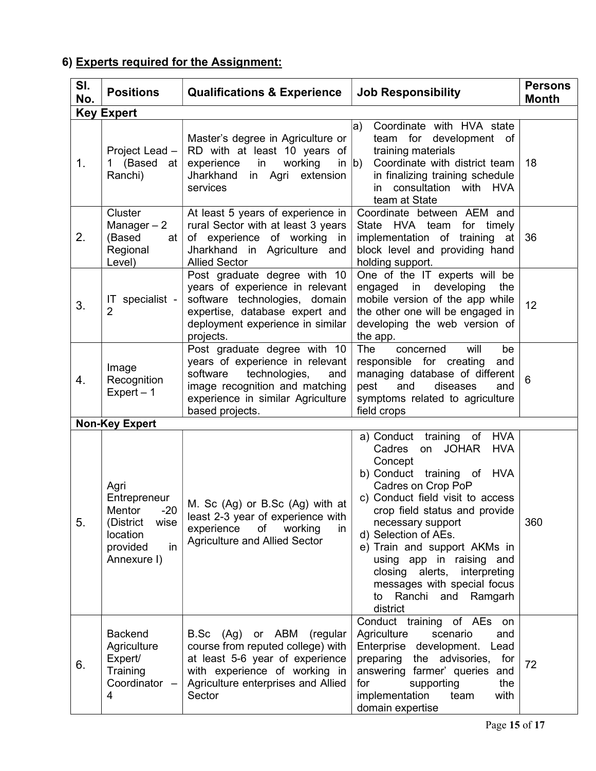# 6) Experts required for the Assignment:

| SI.<br>No. | <b>Positions</b>                                                                                          | <b>Qualifications &amp; Experience</b>                                                                                                                                                        | <b>Job Responsibility</b>                                                                                                                                                                                                                                                                                                                                                                                       | <b>Persons</b><br><b>Month</b> |  |
|------------|-----------------------------------------------------------------------------------------------------------|-----------------------------------------------------------------------------------------------------------------------------------------------------------------------------------------------|-----------------------------------------------------------------------------------------------------------------------------------------------------------------------------------------------------------------------------------------------------------------------------------------------------------------------------------------------------------------------------------------------------------------|--------------------------------|--|
|            | <b>Key Expert</b>                                                                                         |                                                                                                                                                                                               |                                                                                                                                                                                                                                                                                                                                                                                                                 |                                |  |
| 1.         | Project Lead $-$  <br>1 (Based at<br>Ranchi)                                                              | Master's degree in Agriculture or<br>RD with at least 10 years of<br>experience<br>in<br>working<br>Jharkhand<br>in Agri<br>extension<br>services                                             | Coordinate with HVA state<br>$ {\rm a})$<br>for development of<br>team<br>training materials<br>Coordinate with district team<br>in $ b\rangle$<br>in finalizing training schedule<br>in consultation with HVA<br>team at State                                                                                                                                                                                 | 18                             |  |
| 2.         | Cluster<br>Manager $-2$<br>(Based<br>at l<br>Regional<br>Level)                                           | At least 5 years of experience in<br>rural Sector with at least 3 years<br>of experience of working in<br>Jharkhand in Agriculture and<br><b>Allied Sector</b>                                | Coordinate between AEM and<br>State<br>HVA team<br>for timely<br>implementation of training at<br>block level and providing hand<br>holding support.                                                                                                                                                                                                                                                            | 36                             |  |
| 3.         | IT specialist - $ $<br>$\overline{2}$                                                                     | Post graduate degree with 10<br>years of experience in relevant<br>software technologies, domain<br>expertise, database expert and<br>deployment experience in similar<br>projects.           | One of the IT experts will be<br>engaged in developing<br>the<br>mobile version of the app while<br>the other one will be engaged in<br>developing the web version of<br>the app.                                                                                                                                                                                                                               | 12                             |  |
| 4.         | Image<br>Recognition<br>$Expert - 1$                                                                      | Post graduate degree with 10<br>years of experience in relevant<br>software<br>technologies,<br>and<br>image recognition and matching<br>experience in similar Agriculture<br>based projects. | The<br>will<br>concerned<br>be<br>responsible for creating<br>and<br>managing database of different<br>and<br>diseases<br>pest<br>and<br>symptoms related to agriculture<br>field crops                                                                                                                                                                                                                         | 6                              |  |
|            | <b>Non-Key Expert</b>                                                                                     |                                                                                                                                                                                               |                                                                                                                                                                                                                                                                                                                                                                                                                 |                                |  |
| 5.         | Agri<br>Entrepreneur<br>Mentor<br>$-20$<br>(District<br>wise<br>location<br>provided<br>in<br>Annexure I) | M. Sc (Ag) or B.Sc (Ag) with at<br>least 2-3 year of experience with<br>experience<br>of<br>working<br>in<br><b>Agriculture and Allied Sector</b>                                             | a) Conduct training of HVA<br>on JOHAR<br><b>HVA</b><br>Cadres<br>Concept<br>b) Conduct training of HVA<br>Cadres on Crop PoP<br>c) Conduct field visit to access<br>crop field status and provide<br>necessary support<br>d) Selection of AEs.<br>e) Train and support AKMs in<br>using app in raising and<br>closing alerts, interpreting<br>messages with special focus<br>to Ranchi and Ramgarh<br>district | 360                            |  |
| 6.         | <b>Backend</b><br>Agriculture<br>Expert/<br>Training<br>Coordinator -<br>4                                | or ABM (regular<br>B.Sc<br>(Ag)<br>course from reputed college) with<br>at least 5-6 year of experience<br>with experience of working in<br>Agriculture enterprises and Allied<br>Sector      | Conduct training of AEs<br>on<br>Agriculture<br>scenario<br>and<br>Enterprise development.<br>Lead<br>the advisories,<br>preparing<br>for<br>answering farmer' queries and<br>for<br>supporting<br>the<br>implementation<br>team<br>with<br>domain expertise                                                                                                                                                    | 72                             |  |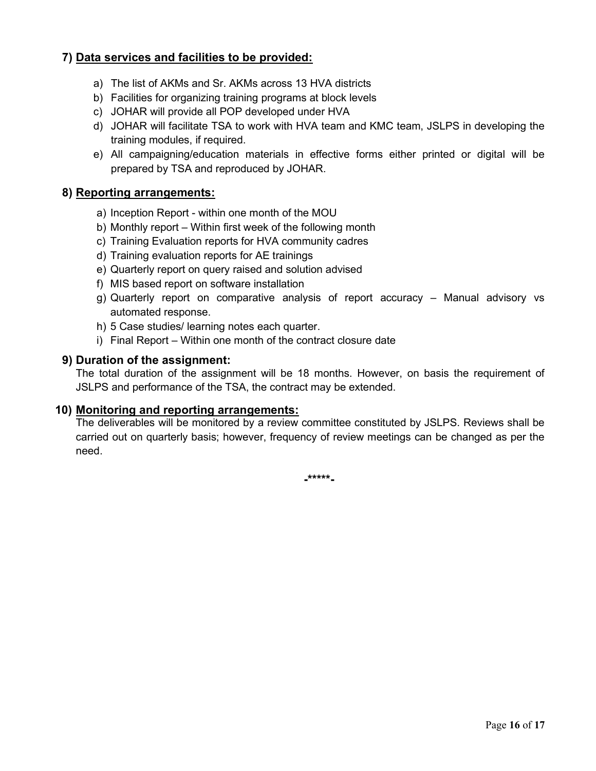# 7) Data services and facilities to be provided:

- a) The list of AKMs and Sr. AKMs across 13 HVA districts
- b) Facilities for organizing training programs at block levels
- c) JOHAR will provide all POP developed under HVA
- d) JOHAR will facilitate TSA to work with HVA team and KMC team, JSLPS in developing the training modules, if required.
- e) All campaigning/education materials in effective forms either printed or digital will be prepared by TSA and reproduced by JOHAR.

## 8) Reporting arrangements:

- a) Inception Report within one month of the MOU
- b) Monthly report Within first week of the following month
- c) Training Evaluation reports for HVA community cadres
- d) Training evaluation reports for AE trainings
- e) Quarterly report on query raised and solution advised
- f) MIS based report on software installation
- g) Quarterly report on comparative analysis of report accuracy Manual advisory vs automated response.
- h) 5 Case studies/ learning notes each quarter.
- i) Final Report Within one month of the contract closure date

# 9) Duration of the assignment:

The total duration of the assignment will be 18 months. However, on basis the requirement of JSLPS and performance of the TSA, the contract may be extended.

# 10) Monitoring and reporting arrangements:

The deliverables will be monitored by a review committee constituted by JSLPS. Reviews shall be carried out on quarterly basis; however, frequency of review meetings can be changed as per the need.

-\*\*\*\*\*-